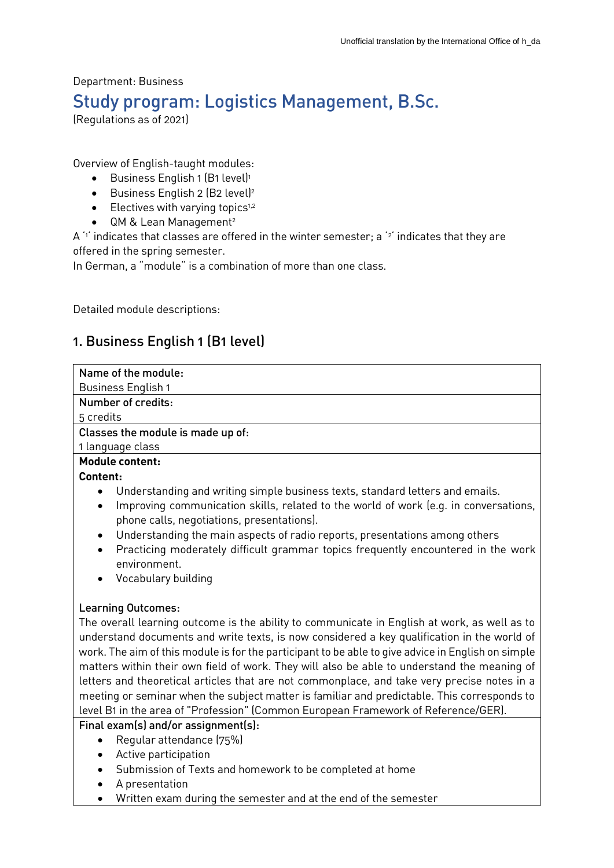# Department: Business Study program: Logistics Management, B.Sc.

(Regulations as of 2021)

Overview of English-taught modules:

- $\bullet$  Business English 1 (B1 level)<sup>1</sup>
- Business English 2 (B2 level)<sup>2</sup>
- $\bullet$  Electives with varying topics<sup>1,2</sup>
- QM & Lean Management<sup>2</sup>

A '1' indicates that classes are offered in the winter semester; a '2' indicates that they are offered in the spring semester.

In German, a "module" is a combination of more than one class.

Detailed module descriptions:

# 1. Business English 1 (B1 level)

| Business English 1<br>Number of credits:<br>Understanding and writing simple business texts, standard letters and emails.<br>Improving communication skills, related to the world of work (e.g. in conversations,<br>$\bullet$<br>phone calls, negotiations, presentations).<br>Understanding the main aspects of radio reports, presentations among others<br>$\bullet$<br>Practicing moderately difficult grammar topics frequently encountered in the work<br>$\bullet$<br>environment.<br>Vocabulary building<br>$\bullet$<br><b>Learning Outcomes:</b><br>The overall learning outcome is the ability to communicate in English at work, as well as to<br>understand documents and write texts, is now considered a key qualification in the world of<br>matters within their own field of work. They will also be able to understand the meaning of<br>letters and theoretical articles that are not commonplace, and take very precise notes in a | Name of the module:                                                                                                                                                                               |
|----------------------------------------------------------------------------------------------------------------------------------------------------------------------------------------------------------------------------------------------------------------------------------------------------------------------------------------------------------------------------------------------------------------------------------------------------------------------------------------------------------------------------------------------------------------------------------------------------------------------------------------------------------------------------------------------------------------------------------------------------------------------------------------------------------------------------------------------------------------------------------------------------------------------------------------------------------|---------------------------------------------------------------------------------------------------------------------------------------------------------------------------------------------------|
|                                                                                                                                                                                                                                                                                                                                                                                                                                                                                                                                                                                                                                                                                                                                                                                                                                                                                                                                                          |                                                                                                                                                                                                   |
|                                                                                                                                                                                                                                                                                                                                                                                                                                                                                                                                                                                                                                                                                                                                                                                                                                                                                                                                                          |                                                                                                                                                                                                   |
|                                                                                                                                                                                                                                                                                                                                                                                                                                                                                                                                                                                                                                                                                                                                                                                                                                                                                                                                                          | 5 credits                                                                                                                                                                                         |
|                                                                                                                                                                                                                                                                                                                                                                                                                                                                                                                                                                                                                                                                                                                                                                                                                                                                                                                                                          | Classes the module is made up of:                                                                                                                                                                 |
|                                                                                                                                                                                                                                                                                                                                                                                                                                                                                                                                                                                                                                                                                                                                                                                                                                                                                                                                                          | 1 language class                                                                                                                                                                                  |
|                                                                                                                                                                                                                                                                                                                                                                                                                                                                                                                                                                                                                                                                                                                                                                                                                                                                                                                                                          | <b>Module content:</b>                                                                                                                                                                            |
|                                                                                                                                                                                                                                                                                                                                                                                                                                                                                                                                                                                                                                                                                                                                                                                                                                                                                                                                                          | Content:                                                                                                                                                                                          |
|                                                                                                                                                                                                                                                                                                                                                                                                                                                                                                                                                                                                                                                                                                                                                                                                                                                                                                                                                          |                                                                                                                                                                                                   |
|                                                                                                                                                                                                                                                                                                                                                                                                                                                                                                                                                                                                                                                                                                                                                                                                                                                                                                                                                          |                                                                                                                                                                                                   |
| level B1 in the area of "Profession" (Common European Framework of Reference/GER).<br>Final exam(s) and/or assignment(s):                                                                                                                                                                                                                                                                                                                                                                                                                                                                                                                                                                                                                                                                                                                                                                                                                                | work. The aim of this module is for the participant to be able to give advice in English on simple<br>meeting or seminar when the subject matter is familiar and predictable. This corresponds to |

- Regular attendance (75%)
- Active participation
- Submission of Texts and homework to be completed at home
- A presentation
- Written exam during the semester and at the end of the semester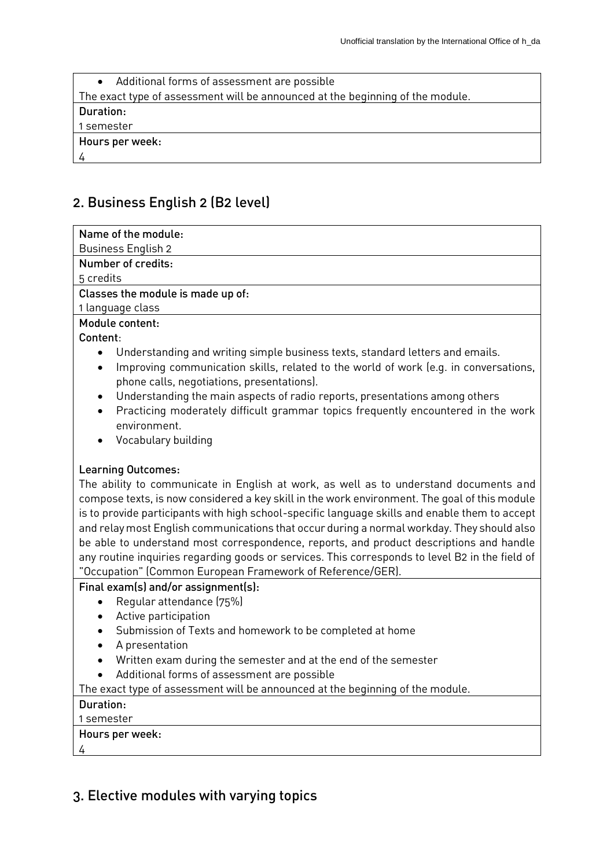| Additional forms of assessment are possible<br>$\bullet$                       |
|--------------------------------------------------------------------------------|
| The exact type of assessment will be announced at the beginning of the module. |
| Duration:                                                                      |
| 1 semester                                                                     |
| Hours per week:                                                                |
|                                                                                |

## 2. Business English 2 (B2 level)

| Name of the module:                                                                               |
|---------------------------------------------------------------------------------------------------|
| <b>Business English 2</b>                                                                         |
| Number of credits:                                                                                |
| 5 credits                                                                                         |
| Classes the module is made up of:                                                                 |
| 1 language class                                                                                  |
| Module content:                                                                                   |
| Content:                                                                                          |
| Understanding and writing simple business texts, standard letters and emails.<br>$\bullet$        |
| Improving communication skills, related to the world of work (e.g. in conversations,<br>$\bullet$ |
| phone calls, negotiations, presentations).                                                        |
| Understanding the main aspects of radio reports, presentations among others<br>$\bullet$          |
| Practicing moderately difficult grammar topics frequently encountered in the work<br>$\bullet$    |
| environment.                                                                                      |

Vocabulary building

#### Learning Outcomes:

The ability to communicate in English at work, as well as to understand documents and compose texts, is now considered a key skill in the work environment. The goal of this module is to provide participants with high school-specific language skills and enable them to accept and relay most English communications that occur during a normal workday. They should also be able to understand most correspondence, reports, and product descriptions and handle any routine inquiries regarding goods or services. This corresponds to level B2 in the field of "Occupation" (Common European Framework of Reference/GER).

#### Final exam(s) and/or assignment(s):

- Regular attendance (75%)
- Active participation
- Submission of Texts and homework to be completed at home
- A presentation
- Written exam during the semester and at the end of the semester
- Additional forms of assessment are possible

The exact type of assessment will be announced at the beginning of the module.

#### Duration:

#### 1 semester

#### Hours per week:

4

### 3. Elective modules with varying topics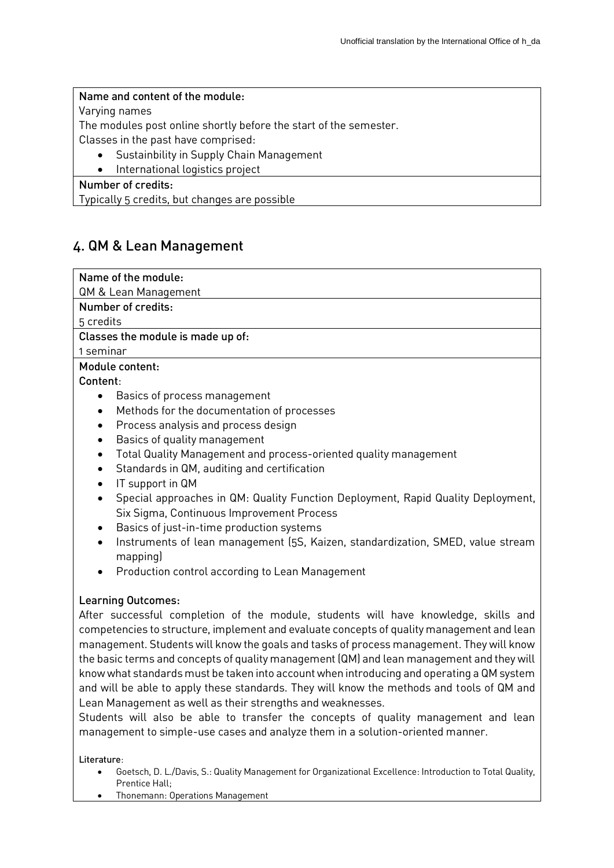#### Name and content of the module:

Varying names

The modules post online shortly before the start of the semester.

Classes in the past have comprised:

- Sustainbility in Supply Chain Management
- International logistics project

#### Number of credits:

Typically 5 credits, but changes are possible

### 4. QM & Lean Management

Name of the module:

QM & Lean Management

Number of credits:

5 credits

Classes the module is made up of:

1 seminar

#### Module content:

Content:

- Basics of process management
- Methods for the documentation of processes
- Process analysis and process design
- Basics of quality management
- Total Quality Management and process-oriented quality management
- Standards in QM, auditing and certification
- IT support in QM
- Special approaches in QM: Quality Function Deployment, Rapid Quality Deployment, Six Sigma, Continuous Improvement Process
- Basics of just-in-time production systems
- Instruments of lean management (5S, Kaizen, standardization, SMED, value stream mapping)
- Production control according to Lean Management

#### Learning Outcomes:

After successful completion of the module, students will have knowledge, skills and competencies to structure, implement and evaluate concepts of quality management and lean management. Students will know the goals and tasks of process management. They will know the basic terms and concepts of quality management (QM) and lean management and they will know what standards must be taken into account when introducing and operating a QM system and will be able to apply these standards. They will know the methods and tools of QM and Lean Management as well as their strengths and weaknesses.

Students will also be able to transfer the concepts of quality management and lean management to simple-use cases and analyze them in a solution-oriented manner.

Literature:

- Goetsch, D. L./Davis, S.: Quality Management for Organizational Excellence: Introduction to Total Quality, Prentice Hall;
- Thonemann: Operations Management